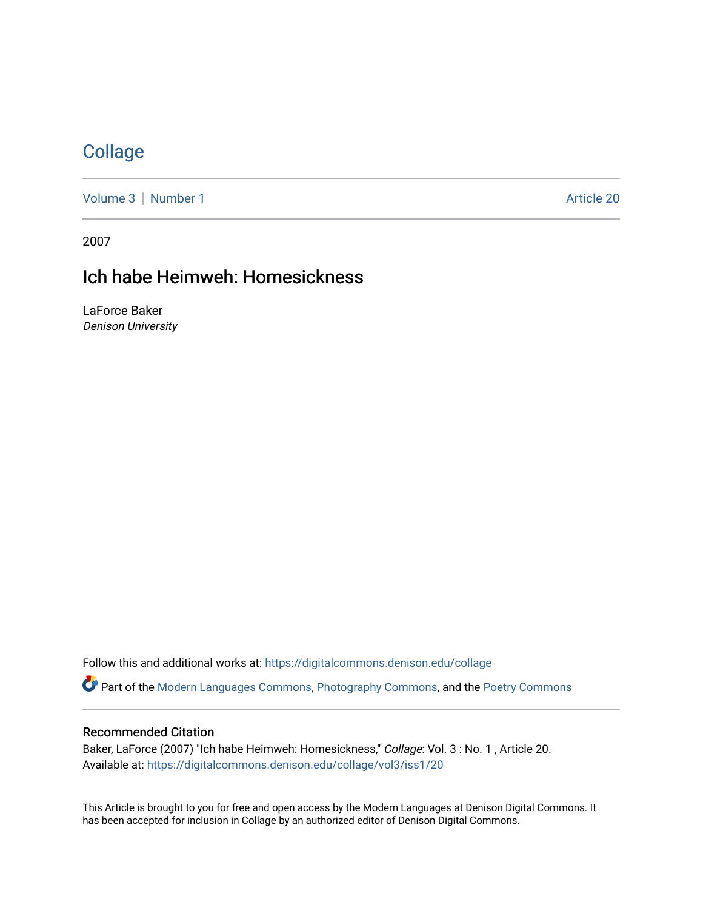# **[Collage](https://digitalcommons.denison.edu/collage)**

[Volume 3](https://digitalcommons.denison.edu/collage/vol3) | [Number 1](https://digitalcommons.denison.edu/collage/vol3/iss1) Article 20

2007

# Ich habe Heimweh: Homesickness

LaForce Baker Denison University

Follow this and additional works at: [https://digitalcommons.denison.edu/collage](https://digitalcommons.denison.edu/collage?utm_source=digitalcommons.denison.edu%2Fcollage%2Fvol3%2Fiss1%2F20&utm_medium=PDF&utm_campaign=PDFCoverPages)  Part of the [Modern Languages Commons,](http://network.bepress.com/hgg/discipline/1130?utm_source=digitalcommons.denison.edu%2Fcollage%2Fvol3%2Fiss1%2F20&utm_medium=PDF&utm_campaign=PDFCoverPages) [Photography Commons](http://network.bepress.com/hgg/discipline/1142?utm_source=digitalcommons.denison.edu%2Fcollage%2Fvol3%2Fiss1%2F20&utm_medium=PDF&utm_campaign=PDFCoverPages), and the [Poetry Commons](http://network.bepress.com/hgg/discipline/1153?utm_source=digitalcommons.denison.edu%2Fcollage%2Fvol3%2Fiss1%2F20&utm_medium=PDF&utm_campaign=PDFCoverPages)

#### Recommended Citation

Baker, LaForce (2007) "Ich habe Heimweh: Homesickness," Collage: Vol. 3: No. 1, Article 20. Available at: [https://digitalcommons.denison.edu/collage/vol3/iss1/20](https://digitalcommons.denison.edu/collage/vol3/iss1/20?utm_source=digitalcommons.denison.edu%2Fcollage%2Fvol3%2Fiss1%2F20&utm_medium=PDF&utm_campaign=PDFCoverPages)

This Article is brought to you for free and open access by the Modern Languages at Denison Digital Commons. It has been accepted for inclusion in Collage by an authorized editor of Denison Digital Commons.